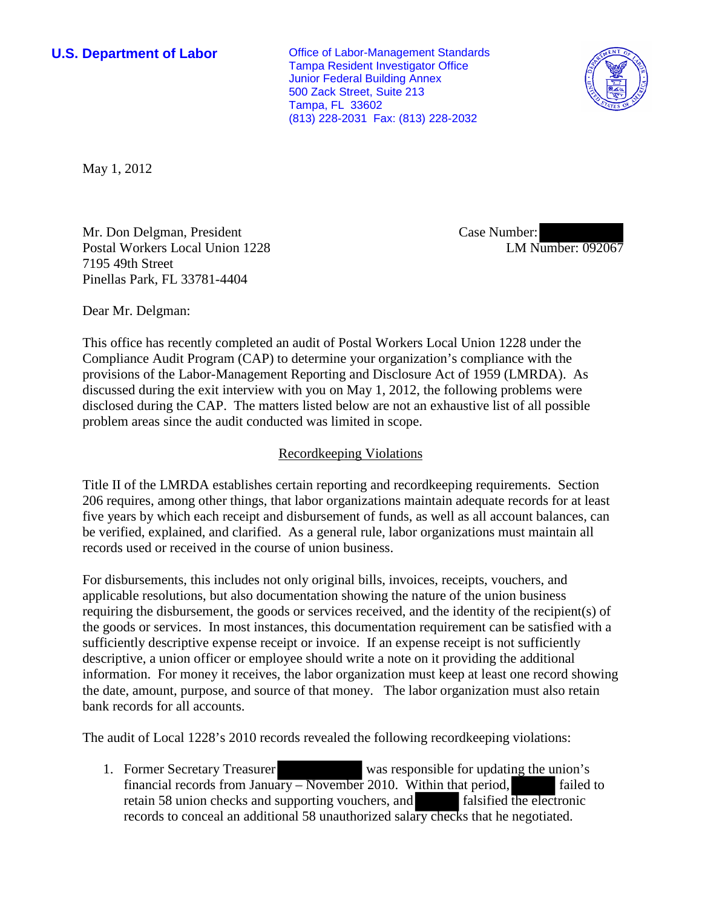**U.S. Department of Labor Conservative Conservative Conservative Conservative Conservative Conservative Conservative Conservative Conservative Conservative Conservative Conservative Conservative Conservative Conservative** Tampa Resident Investigator Office Junior Federal Building Annex 500 Zack Street, Suite 213 Tampa, FL 33602 (813) 228-2031 Fax: (813) 228-2032



May 1, 2012

Mr. Don Delgman, President Postal Workers Local Union 1228 7195 49th Street Pinellas Park, FL 33781-4404

Case Number: LM Number: 092067

Dear Mr. Delgman:

This office has recently completed an audit of Postal Workers Local Union 1228 under the Compliance Audit Program (CAP) to determine your organization's compliance with the provisions of the Labor-Management Reporting and Disclosure Act of 1959 (LMRDA). As discussed during the exit interview with you on May 1, 2012, the following problems were disclosed during the CAP. The matters listed below are not an exhaustive list of all possible problem areas since the audit conducted was limited in scope.

## Recordkeeping Violations

Title II of the LMRDA establishes certain reporting and recordkeeping requirements. Section 206 requires, among other things, that labor organizations maintain adequate records for at least five years by which each receipt and disbursement of funds, as well as all account balances, can be verified, explained, and clarified. As a general rule, labor organizations must maintain all records used or received in the course of union business.

For disbursements, this includes not only original bills, invoices, receipts, vouchers, and applicable resolutions, but also documentation showing the nature of the union business requiring the disbursement, the goods or services received, and the identity of the recipient(s) of the goods or services. In most instances, this documentation requirement can be satisfied with a sufficiently descriptive expense receipt or invoice. If an expense receipt is not sufficiently descriptive, a union officer or employee should write a note on it providing the additional information. For money it receives, the labor organization must keep at least one record showing the date, amount, purpose, and source of that money. The labor organization must also retain bank records for all accounts.

The audit of Local 1228's 2010 records revealed the following recordkeeping violations:

1. Former Secretary Treasurer was responsible for updating the union's financial records from January – November 2010. Within that period, failed to retain 58 union checks and supporting vouchers, and falsified the electronic records to conceal an additional 58 unauthorized salary checks that he negotiated.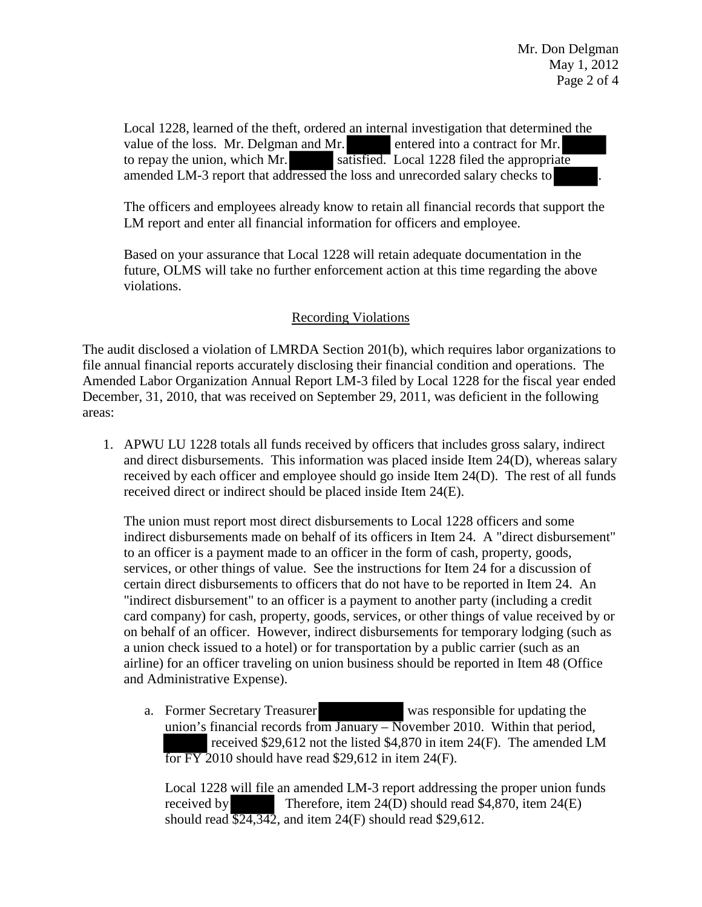Local 1228, learned of the theft, ordered an internal investigation that determined the value of the loss. Mr. Delgman and Mr. entered into a contract for Mr. to repay the union, which Mr. satisfied. Local 1228 filed the appropriate amended LM-3 report that addressed the loss and unrecorded salary checks to

The officers and employees already know to retain all financial records that support the LM report and enter all financial information for officers and employee.

Based on your assurance that Local 1228 will retain adequate documentation in the future, OLMS will take no further enforcement action at this time regarding the above violations.

## Recording Violations

The audit disclosed a violation of LMRDA Section 201(b), which requires labor organizations to file annual financial reports accurately disclosing their financial condition and operations. The Amended Labor Organization Annual Report LM-3 filed by Local 1228 for the fiscal year ended December, 31, 2010, that was received on September 29, 2011, was deficient in the following areas:

1. APWU LU 1228 totals all funds received by officers that includes gross salary, indirect and direct disbursements. This information was placed inside Item 24(D), whereas salary received by each officer and employee should go inside Item 24(D). The rest of all funds received direct or indirect should be placed inside Item 24(E).

The union must report most direct disbursements to Local 1228 officers and some indirect disbursements made on behalf of its officers in Item 24. A "direct disbursement" to an officer is a payment made to an officer in the form of cash, property, goods, services, or other things of value. See the instructions for Item 24 for a discussion of certain direct disbursements to officers that do not have to be reported in Item 24. An "indirect disbursement" to an officer is a payment to another party (including a credit card company) for cash, property, goods, services, or other things of value received by or on behalf of an officer. However, indirect disbursements for temporary lodging (such as a union check issued to a hotel) or for transportation by a public carrier (such as an airline) for an officer traveling on union business should be reported in Item 48 (Office and Administrative Expense).

a. Former Secretary Treasurer was responsible for updating the union's financial records from January  $-$  November 2010. Within that period, received \$29,612 not the listed \$4,870 in item 24(F). The amended LM for FY 2010 should have read \$29,612 in item 24(F).

Local 1228 will file an amended LM-3 report addressing the proper union funds received by Therefore, item 24(D) should read \$4,870, item 24(E) should read  $\overline{524,342}$ , and item 24(F) should read \$29,612.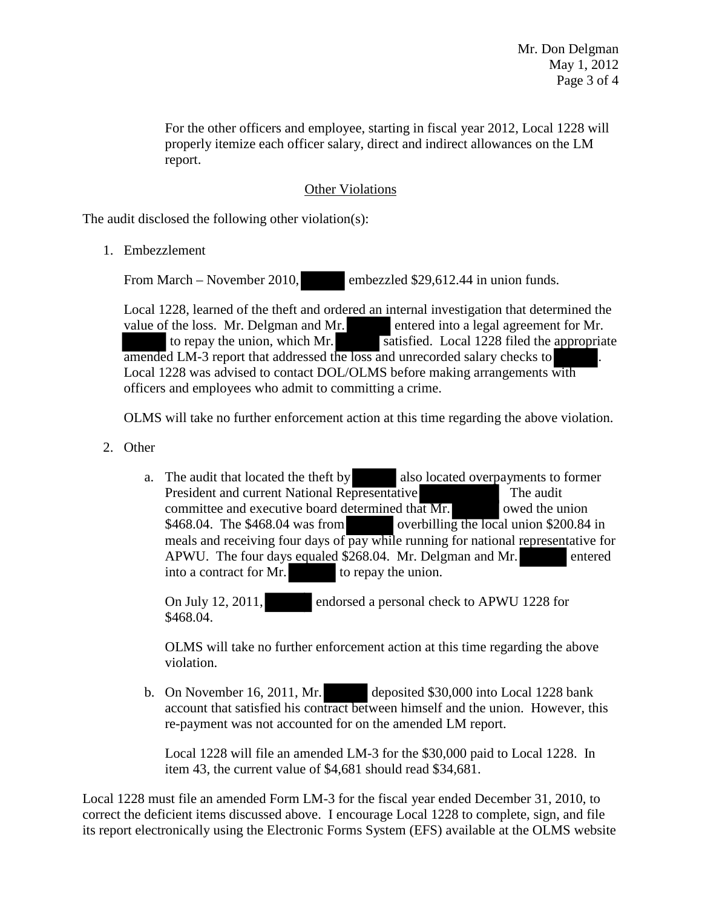For the other officers and employee, starting in fiscal year 2012, Local 1228 will properly itemize each officer salary, direct and indirect allowances on the LM report.

## Other Violations

The audit disclosed the following other violation(s):

1. Embezzlement

From March – November 2010, embezzled \$29,612.44 in union funds.

Local 1228, learned of the theft and ordered an internal investigation that determined the value of the loss. Mr. Delgman and Mr. entered into a legal agreement for Mr. to repay the union, which Mr. satisfied. Local 1228 filed the appropriate amended LM-3 report that addressed the loss and unrecorded salary checks to Local 1228 was advised to contact DOL/OLMS before making arrangements with officers and employees who admit to committing a crime.

OLMS will take no further enforcement action at this time regarding the above violation.

- 2. Other
	- a. The audit that located the theft by also located overpayments to former President and current National Representative The audit committee and executive board determined that  $Mr.$  owed the union \$468.04. The \$468.04 was from overbilling the local union \$200.84 in meals and receiving four days of pay while running for national representative for APWU. The four days equaled \$268.04. Mr. Delgman and Mr. entered into a contract for Mr. to repay the union.

On July 12, 2011, endorsed a personal check to APWU 1228 for \$468.04.

OLMS will take no further enforcement action at this time regarding the above violation.

b. On November 16, 2011, Mr. deposited \$30,000 into Local 1228 bank account that satisfied his contract between himself and the union. However, this re-payment was not accounted for on the amended LM report.

Local 1228 will file an amended LM-3 for the \$30,000 paid to Local 1228. In item 43, the current value of \$4,681 should read \$34,681.

Local 1228 must file an amended Form LM-3 for the fiscal year ended December 31, 2010, to correct the deficient items discussed above. I encourage Local 1228 to complete, sign, and file its report electronically using the Electronic Forms System (EFS) available at the OLMS website